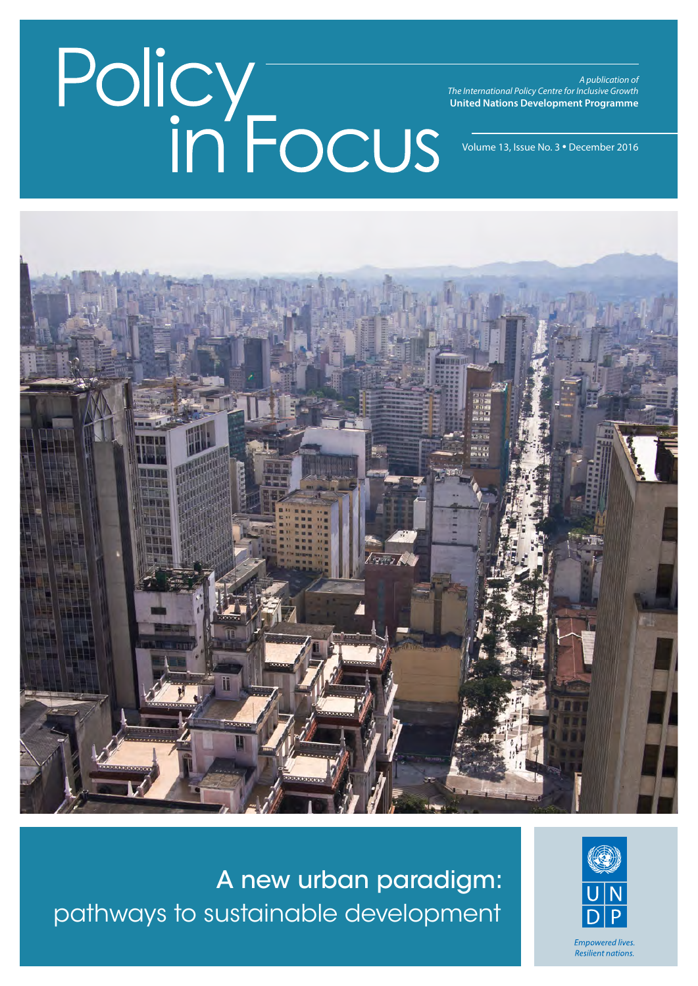*A publication of The International Policy Centre for Inclusive Growth* **United Nations Development Programme**

Volume 13, Issue No. 3 • December 2016



A new urban paradigm: pathways to sustainable development

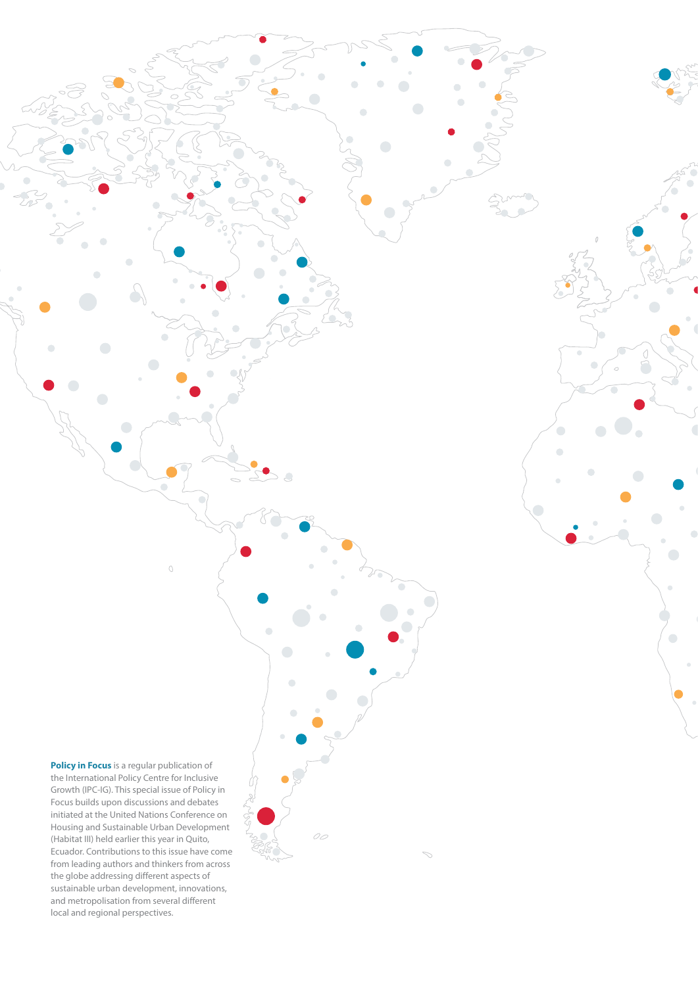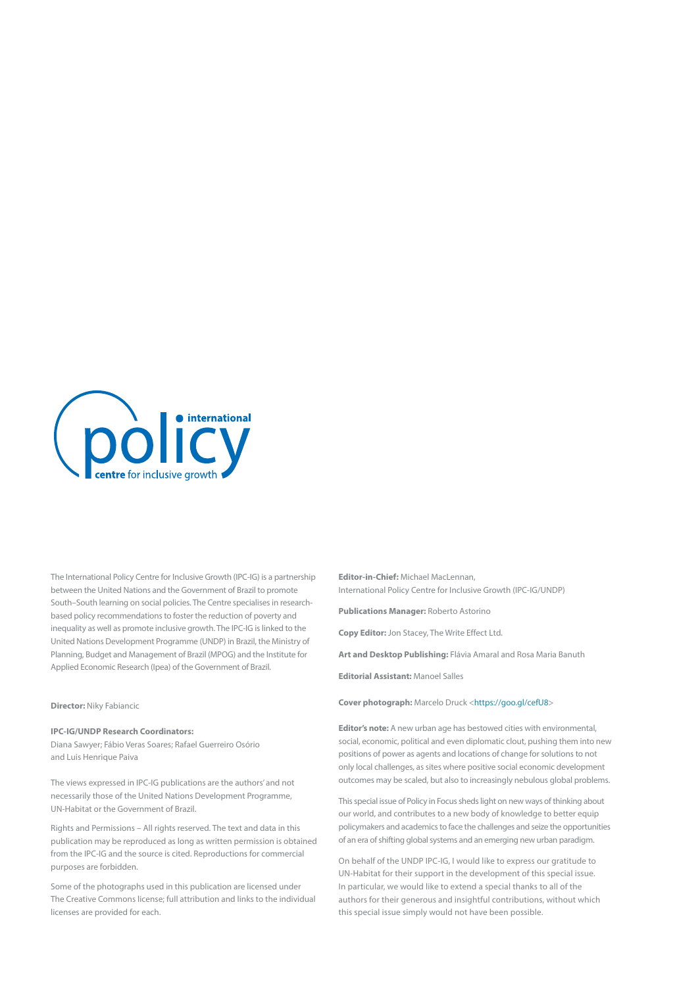

The International Policy Centre for Inclusive Growth (IPC-IG) is a partnership between the United Nations and the Government of Brazil to promote South–South learning on social policies. The Centre specialises in researchbased policy recommendations to foster the reduction of poverty and inequality as well as promote inclusive growth. The IPC-IG is linked to the United Nations Development Programme (UNDP) in Brazil, the Ministry of Planning, Budget and Management of Brazil (MPOG) and the Institute for Applied Economic Research (Ipea) of the Government of Brazil.

#### **Director:** Niky Fabiancic

#### **IPC-IG/UNDP Research Coordinators:**

Diana Sawyer; Fábio Veras Soares; Rafael Guerreiro Osório and Luis Henrique Paiva

The views expressed in IPC-IG publications are the authors' and not necessarily those of the United Nations Development Programme, UN-Habitat or the Government of Brazil.

Rights and Permissions – All rights reserved. The text and data in this publication may be reproduced as long as written permission is obtained from the IPC-IG and the source is cited. Reproductions for commercial purposes are forbidden.

Some of the photographs used in this publication are licensed under The Creative Commons license; full attribution and links to the individual licenses are provided for each.

**Editor-in-Chief:** Michael MacLennan, International Policy Centre for Inclusive Growth (IPC-IG/UNDP)

**Publications Manager:** Roberto Astorino

**Copy Editor:** Jon Stacey, The Write Effect Ltd.

**Art and Desktop Publishing:** Flávia Amaral and Rosa Maria Banuth

**Editorial Assistant:** Manoel Salles

**Cover photograph:** Marcelo Druck <[https://goo.gl/cefU8>](https://goo.gl/cefU8)

**Editor's note:** A new urban age has bestowed cities with environmental, social, economic, political and even diplomatic clout, pushing them into new positions of power as agents and locations of change for solutions to not only local challenges, as sites where positive social economic development outcomes may be scaled, but also to increasingly nebulous global problems.

This special issue of Policy in Focus sheds light on new ways of thinking about our world, and contributes to a new body of knowledge to better equip policymakers and academics to face the challenges and seize the opportunities of an era of shifting global systems and an emerging new urban paradigm.

On behalf of the UNDP IPC-IG, I would like to express our gratitude to UN-Habitat for their support in the development of this special issue. In particular, we would like to extend a special thanks to all of the authors for their generous and insightful contributions, without which this special issue simply would not have been possible.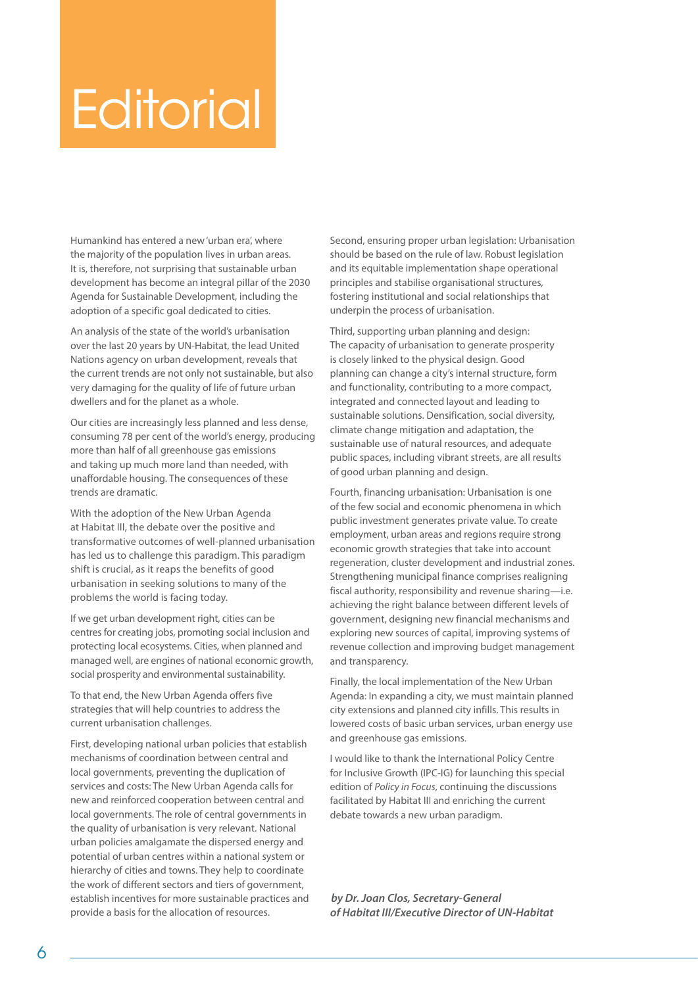## **Editorial**

Humankind has entered a new 'urban era', where the majority of the population lives in urban areas. It is, therefore, not surprising that sustainable urban development has become an integral pillar of the 2030 Agenda for Sustainable Development, including the adoption of a specific goal dedicated to cities.

An analysis of the state of the world's urbanisation over the last 20 years by UN-Habitat, the lead United Nations agency on urban development, reveals that the current trends are not only not sustainable, but also very damaging for the quality of life of future urban dwellers and for the planet as a whole.

Our cities are increasingly less planned and less dense, consuming 78 per cent of the world's energy, producing more than half of all greenhouse gas emissions and taking up much more land than needed, with unaffordable housing. The consequences of these trends are dramatic.

With the adoption of the New Urban Agenda at Habitat III, the debate over the positive and transformative outcomes of well-planned urbanisation has led us to challenge this paradigm. This paradigm shift is crucial, as it reaps the benefits of good urbanisation in seeking solutions to many of the problems the world is facing today.

If we get urban development right, cities can be centres for creating jobs, promoting social inclusion and protecting local ecosystems. Cities, when planned and managed well, are engines of national economic growth, social prosperity and environmental sustainability.

To that end, the New Urban Agenda offers five strategies that will help countries to address the current urbanisation challenges.

First, developing national urban policies that establish mechanisms of coordination between central and local governments, preventing the duplication of services and costs: The New Urban Agenda calls for new and reinforced cooperation between central and local governments. The role of central governments in the quality of urbanisation is very relevant. National urban policies amalgamate the dispersed energy and potential of urban centres within a national system or hierarchy of cities and towns. They help to coordinate the work of different sectors and tiers of government, establish incentives for more sustainable practices and provide a basis for the allocation of resources.

Second, ensuring proper urban legislation: Urbanisation should be based on the rule of law. Robust legislation and its equitable implementation shape operational principles and stabilise organisational structures, fostering institutional and social relationships that underpin the process of urbanisation.

Third, supporting urban planning and design: The capacity of urbanisation to generate prosperity is closely linked to the physical design. Good planning can change a city's internal structure, form and functionality, contributing to a more compact, integrated and connected layout and leading to sustainable solutions. Densification, social diversity, climate change mitigation and adaptation, the sustainable use of natural resources, and adequate public spaces, including vibrant streets, are all results of good urban planning and design.

Fourth, financing urbanisation: Urbanisation is one of the few social and economic phenomena in which public investment generates private value. To create employment, urban areas and regions require strong economic growth strategies that take into account regeneration, cluster development and industrial zones. Strengthening municipal finance comprises realigning fiscal authority, responsibility and revenue sharing—i.e. achieving the right balance between different levels of government, designing new financial mechanisms and exploring new sources of capital, improving systems of revenue collection and improving budget management and transparency.

Finally, the local implementation of the New Urban Agenda: In expanding a city, we must maintain planned city extensions and planned city infills. This results in lowered costs of basic urban services, urban energy use and greenhouse gas emissions.

I would like to thank the International Policy Centre for Inclusive Growth (IPC-IG) for launching this special edition of *Policy in Focus*, continuing the discussions facilitated by Habitat III and enriching the current debate towards a new urban paradigm.

*by Dr. Joan Clos, Secretary-General of Habitat III/Executive Director of UN-Habitat*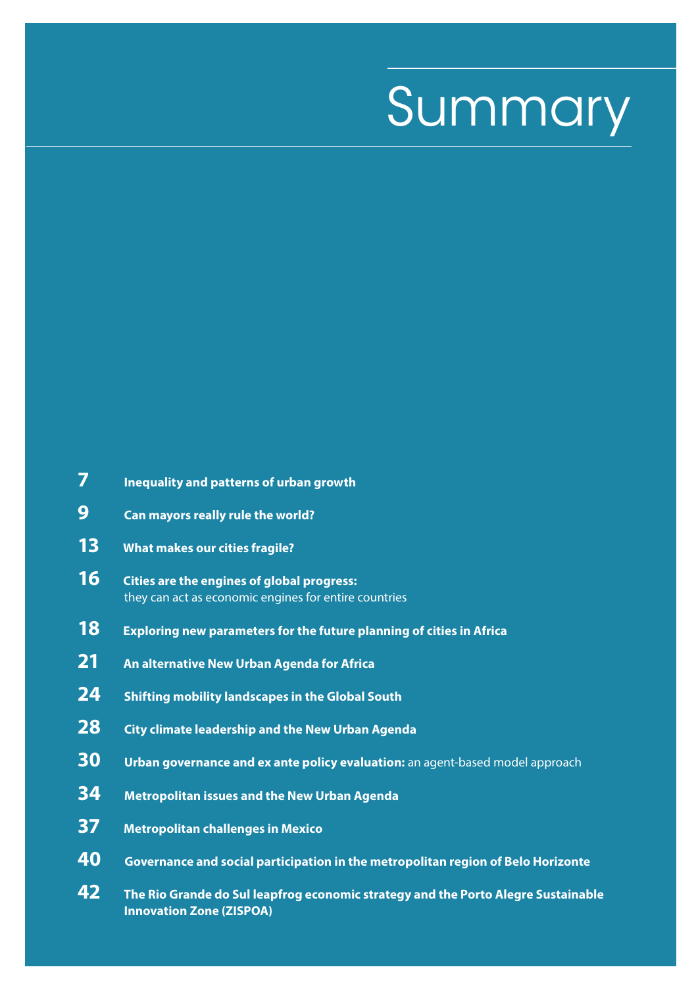# Summary

| 7                        | Inequality and patterns of urban growth                                                                    |
|--------------------------|------------------------------------------------------------------------------------------------------------|
| 9                        | Can mayors really rule the world?                                                                          |
| 13                       | <b>What makes our cities fragile?</b>                                                                      |
| 16                       | <b>Cities are the engines of global progress:</b><br>they can act as economic engines for entire countries |
| 18                       | <b>Exploring new parameters for the future planning of cities in Africa</b>                                |
| 21                       | An alternative New Urban Agenda for Africa                                                                 |
| 24                       | <b>Shifting mobility landscapes in the Global South</b>                                                    |
| 28                       | <b>City climate leadership and the New Urban Agenda</b>                                                    |
| 30                       | Urban governance and ex ante policy evaluation: an agent-based model approach                              |
| 34                       | <b>Metropolitan issues and the New Urban Agenda</b>                                                        |
| 37                       | <b>Metropolitan challenges in Mexico</b>                                                                   |
| 40                       | Governance and social participation in the metropolitan region of Belo Horizonte                           |
| $\overline{\phantom{a}}$ |                                                                                                            |

**42 The Rio Grande do Sul leapfrog economic strategy and the Porto Alegre Sustainable Innovation Zone (ZISPOA)**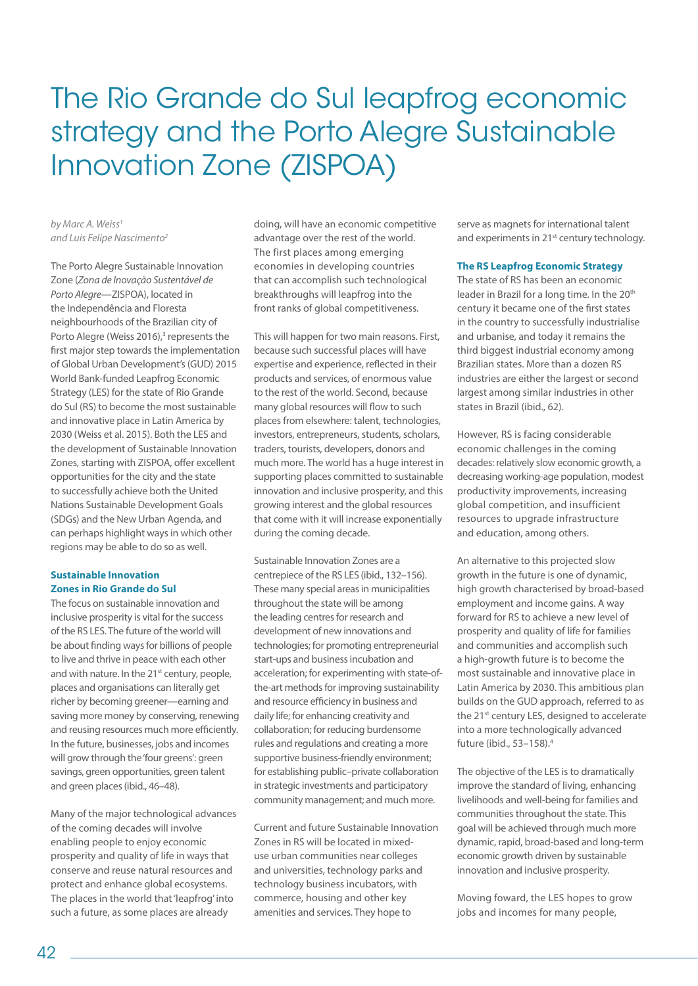### The Rio Grande do Sul leapfrog economic strategy and the Porto Alegre Sustainable Innovation Zone (ZISPOA)

*by Marc A. Weiss1 and Luis Felipe Nascimento2*

The Porto Alegre Sustainable Innovation Zone (*Zona de Inovação Sustentável de Porto Alegre*—ZISPOA), located in the Independência and Floresta neighbourhoods of the Brazilian city of Porto Alegre (Weiss 2016),<sup>3</sup> represents the first major step towards the implementation of Global Urban Development's (GUD) 2015 World Bank-funded Leapfrog Economic Strategy (LES) for the state of Rio Grande do Sul (RS) to become the most sustainable and innovative place in Latin America by 2030 (Weiss et al. 2015). Both the LES and the development of Sustainable Innovation Zones, starting with ZISPOA, offer excellent opportunities for the city and the state to successfully achieve both the United Nations Sustainable Development Goals (SDGs) and the New Urban Agenda, and can perhaps highlight ways in which other regions may be able to do so as well.

#### **Sustainable Innovation Zones in Rio Grande do Sul**

The focus on sustainable innovation and inclusive prosperity is vital for the success of the RS LES. The future of the world will be about finding ways for billions of people to live and thrive in peace with each other and with nature. In the 21<sup>st</sup> century, people, places and organisations can literally get richer by becoming greener—earning and saving more money by conserving, renewing and reusing resources much more efficiently. In the future, businesses, jobs and incomes will grow through the 'four greens': green savings, green opportunities, green talent and green places (ibid., 46–48).

Many of the major technological advances of the coming decades will involve enabling people to enjoy economic prosperity and quality of life in ways that conserve and reuse natural resources and protect and enhance global ecosystems. The places in the world that 'leapfrog' into such a future, as some places are already

doing, will have an economic competitive advantage over the rest of the world. The first places among emerging economies in developing countries that can accomplish such technological breakthroughs will leapfrog into the front ranks of global competitiveness.

This will happen for two main reasons. First, because such successful places will have expertise and experience, reflected in their products and services, of enormous value to the rest of the world. Second, because many global resources will flow to such places from elsewhere: talent, technologies, investors, entrepreneurs, students, scholars, traders, tourists, developers, donors and much more. The world has a huge interest in supporting places committed to sustainable innovation and inclusive prosperity, and this growing interest and the global resources that come with it will increase exponentially during the coming decade.

Sustainable Innovation Zones are a centrepiece of the RS LES (ibid., 132–156). These many special areas in municipalities throughout the state will be among the leading centres for research and development of new innovations and technologies; for promoting entrepreneurial start-ups and business incubation and acceleration; for experimenting with state‐of‐ the‐art methods for improving sustainability and resource efficiency in business and daily life; for enhancing creativity and collaboration; for reducing burdensome rules and regulations and creating a more supportive business-friendly environment; for establishing public–private collaboration in strategic investments and participatory community management; and much more.

Current and future Sustainable Innovation Zones in RS will be located in mixed‐ use urban communities near colleges and universities, technology parks and technology business incubators, with commerce, housing and other key amenities and services. They hope to

serve as magnets for international talent and experiments in 21<sup>st</sup> century technology.

#### **The RS Leapfrog Economic Strategy**

The state of RS has been an economic leader in Brazil for a long time. In the 20th century it became one of the first states in the country to successfully industrialise and urbanise, and today it remains the third biggest industrial economy among Brazilian states. More than a dozen RS industries are either the largest or second largest among similar industries in other states in Brazil (ibid., 62).

However, RS is facing considerable economic challenges in the coming decades: relatively slow economic growth, a decreasing working-age population, modest productivity improvements, increasing global competition, and insufficient resources to upgrade infrastructure and education, among others.

An alternative to this projected slow growth in the future is one of dynamic, high growth characterised by broad‐based employment and income gains. A way forward for RS to achieve a new level of prosperity and quality of life for families and communities and accomplish such a high-growth future is to become the most sustainable and innovative place in Latin America by 2030. This ambitious plan builds on the GUD approach, referred to as the 21<sup>st</sup> century LES, designed to accelerate into a more technologically advanced future (ibid., 53–158).4

The objective of the LES is to dramatically improve the standard of living, enhancing livelihoods and well-being for families and communities throughout the state. This goal will be achieved through much more dynamic, rapid, broad‐based and long‐term economic growth driven by sustainable innovation and inclusive prosperity.

Moving foward, the LES hopes to grow jobs and incomes for many people,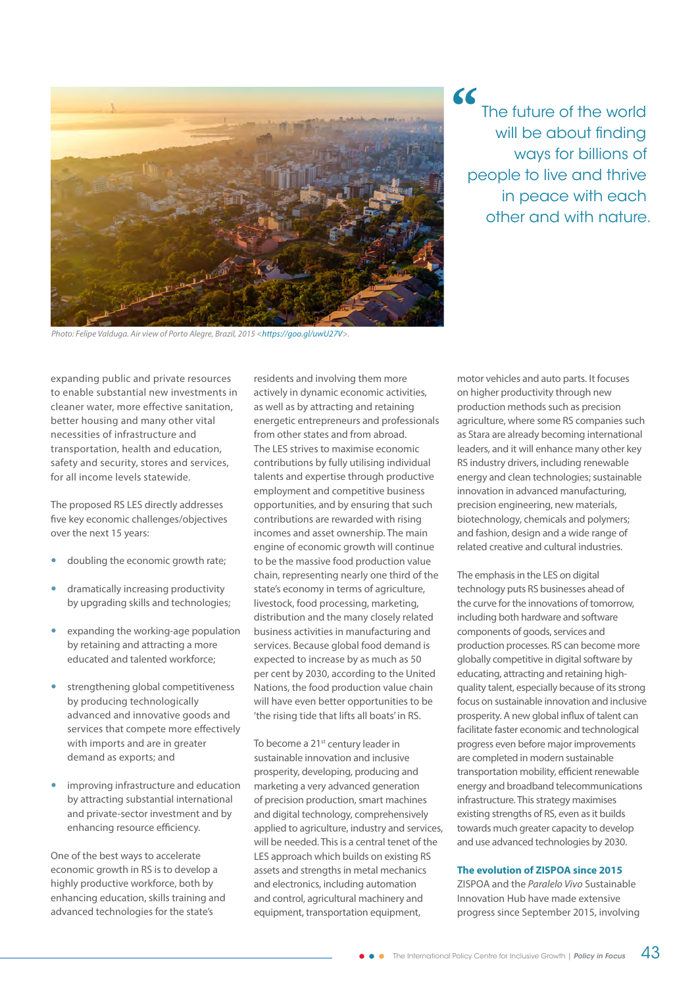

*Photo: Felipe Valduga. Air view of Porto Alegre, Brazil, 2015 <<https://goo.gl/uwU27V>>.*

**"** The future of the world will be about finding ways for billions of people to live and thrive in peace with each other and with nature.

expanding public and private resources to enable substantial new investments in cleaner water, more effective sanitation, better housing and many other vital necessities of infrastructure and transportation, health and education, safety and security, stores and services, for all income levels statewide.

The proposed RS LES directly addresses five key economic challenges/objectives over the next 15 years:

- doubling the economic growth rate;
- y dramatically increasing productivity by upgrading skills and technologies;
- expanding the working-age population by retaining and attracting a more educated and talented workforce;
- strengthening global competitiveness by producing technologically advanced and innovative goods and services that compete more effectively with imports and are in greater demand as exports; and
- improving infrastructure and education by attracting substantial international and private-sector investment and by enhancing resource efficiency.

One of the best ways to accelerate economic growth in RS is to develop a highly productive workforce, both by enhancing education, skills training and advanced technologies for the state's

residents and involving them more actively in dynamic economic activities, as well as by attracting and retaining energetic entrepreneurs and professionals from other states and from abroad. The LES strives to maximise economic contributions by fully utilising individual talents and expertise through productive employment and competitive business opportunities, and by ensuring that such contributions are rewarded with rising incomes and asset ownership. The main engine of economic growth will continue to be the massive food production value chain, representing nearly one third of the state's economy in terms of agriculture, livestock, food processing, marketing, distribution and the many closely related business activities in manufacturing and services. Because global food demand is expected to increase by as much as 50 per cent by 2030, according to the United Nations, the food production value chain will have even better opportunities to be 'the rising tide that lifts all boats' in RS.

To become a 21<sup>st</sup> century leader in sustainable innovation and inclusive prosperity, developing, producing and marketing a very advanced generation of precision production, smart machines and digital technology, comprehensively applied to agriculture, industry and services, will be needed. This is a central tenet of the LES approach which builds on existing RS assets and strengths in metal mechanics and electronics, including automation and control, agricultural machinery and equipment, transportation equipment,

motor vehicles and auto parts. It focuses on higher productivity through new production methods such as precision agriculture, where some RS companies such as Stara are already becoming international leaders, and it will enhance many other key RS industry drivers, including renewable energy and clean technologies; sustainable innovation in advanced manufacturing, precision engineering, new materials, biotechnology, chemicals and polymers; and fashion, design and a wide range of related creative and cultural industries.

The emphasis in the LES on digital technology puts RS businesses ahead of the curve for the innovations of tomorrow, including both hardware and software components of goods, services and production processes. RS can become more globally competitive in digital software by educating, attracting and retaining highquality talent, especially because of its strong focus on sustainable innovation and inclusive prosperity. A new global influx of talent can facilitate faster economic and technological progress even before major improvements are completed in modern sustainable transportation mobility, efficient renewable energy and broadband telecommunications infrastructure. This strategy maximises existing strengths of RS, even as it builds towards much greater capacity to develop and use advanced technologies by 2030.

### **The evolution of ZISPOA since 2015**

ZISPOA and the *Paralelo Vivo* Sustainable Innovation Hub have made extensive progress since September 2015, involving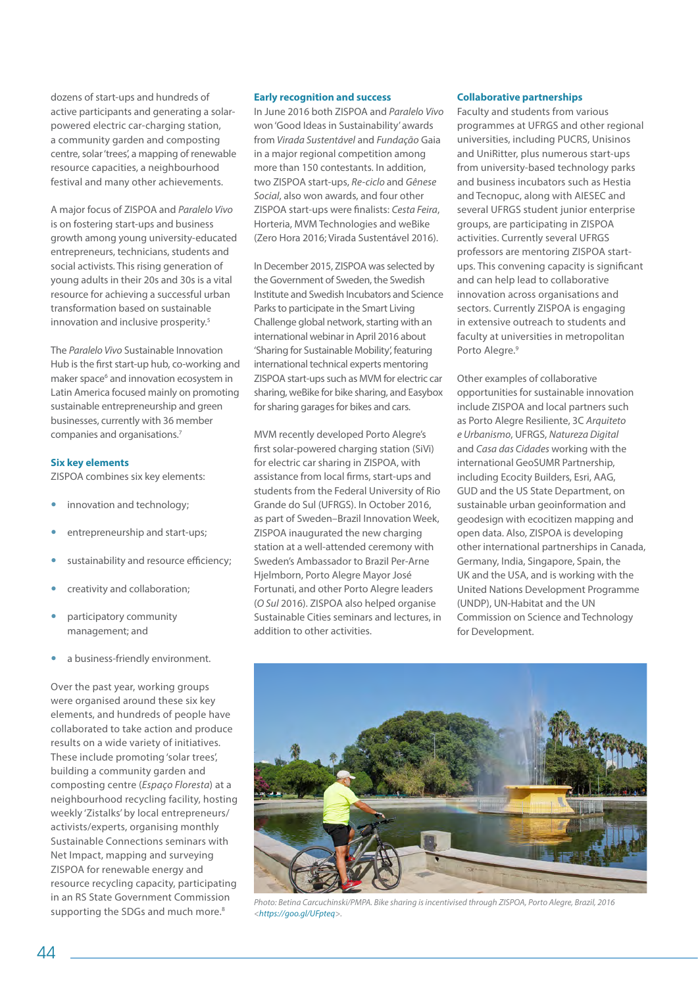dozens of start-ups and hundreds of active participants and generating a solarpowered electric car-charging station, a community garden and composting centre, solar 'trees', a mapping of renewable resource capacities, a neighbourhood festival and many other achievements.

A major focus of ZISPOA and *Paralelo Vivo* is on fostering start-ups and business growth among young university-educated entrepreneurs, technicians, students and social activists. This rising generation of young adults in their 20s and 30s is a vital resource for achieving a successful urban transformation based on sustainable innovation and inclusive prosperity.<sup>5</sup>

The *Paralelo Vivo* Sustainable Innovation Hub is the first start-up hub, co-working and maker space<sup>6</sup> and innovation ecosystem in Latin America focused mainly on promoting sustainable entrepreneurship and green businesses, currently with 36 member companies and organisations.7

#### **Six key elements**

ZISPOA combines six key elements:

- innovation and technology;
- entrepreneurship and start-ups;
- sustainability and resource efficiency;
- creativity and collaboration;
- participatory community management; and
- a business-friendly environment.

Over the past year, working groups were organised around these six key elements, and hundreds of people have collaborated to take action and produce results on a wide variety of initiatives. These include promoting 'solar trees', building a community garden and composting centre (*Espaço Floresta*) at a neighbourhood recycling facility, hosting weekly 'Zistalks' by local entrepreneurs/ activists/experts, organising monthly Sustainable Connections seminars with Net Impact, mapping and surveying ZISPOA for renewable energy and resource recycling capacity, participating in an RS State Government Commission supporting the SDGs and much more.<sup>8</sup>

#### **Early recognition and success**

In June 2016 both ZISPOA and *Paralelo Vivo* won 'Good Ideas in Sustainability' awards from *Virada Sustentável* and *Fundação* Gaia in a major regional competition among more than 150 contestants. In addition, two ZISPOA start-ups, *Re-ciclo* and *Gênese Social*, also won awards, and four other ZISPOA start-ups were finalists: *Cesta Feira*, Horteria, MVM Technologies and weBike (Zero Hora 2016; Virada Sustentável 2016).

In December 2015, ZISPOA was selected by the Government of Sweden, the Swedish Institute and Swedish Incubators and Science Parks to participate in the Smart Living Challenge global network, starting with an international webinar in April 2016 about 'Sharing for Sustainable Mobility', featuring international technical experts mentoring ZISPOA start-ups such as MVM for electric car sharing, weBike for bike sharing, and Easybox for sharing garages for bikes and cars.

MVM recently developed Porto Alegre's first solar-powered charging station (SiVi) for electric car sharing in ZISPOA, with assistance from local firms, start-ups and students from the Federal University of Rio Grande do Sul (UFRGS). In October 2016, as part of Sweden–Brazil Innovation Week, ZISPOA inaugurated the new charging station at a well-attended ceremony with Sweden's Ambassador to Brazil Per-Arne Hjelmborn, Porto Alegre Mayor José Fortunati, and other Porto Alegre leaders (*O Sul* 2016). ZISPOA also helped organise Sustainable Cities seminars and lectures, in addition to other activities.

#### **Collaborative partnerships**

Faculty and students from various programmes at UFRGS and other regional universities, including PUCRS, Unisinos and UniRitter, plus numerous start-ups from university-based technology parks and business incubators such as Hestia and Tecnopuc, along with AIESEC and several UFRGS student junior enterprise groups, are participating in ZISPOA activities. Currently several UFRGS professors are mentoring ZISPOA startups. This convening capacity is significant and can help lead to collaborative innovation across organisations and sectors. Currently ZISPOA is engaging in extensive outreach to students and faculty at universities in metropolitan Porto Alegre.<sup>9</sup>

Other examples of collaborative opportunities for sustainable innovation include ZISPOA and local partners such as Porto Alegre Resiliente, 3C *Arquiteto e Urbanismo*, UFRGS, *Natureza Digital*  and *Casa das Cidades* working with the international GeoSUMR Partnership, including Ecocity Builders, Esri, AAG, GUD and the US State Department, on sustainable urban geoinformation and geodesign with ecocitizen mapping and open data. Also, ZISPOA is developing other international partnerships in Canada, Germany, India, Singapore, Spain, the UK and the USA, and is working with the United Nations Development Programme (UNDP), UN-Habitat and the UN Commission on Science and Technology for Development.



*Photo: Betina Carcuchinski/PMPA. Bike sharing is incentivised through ZISPOA, Porto Alegre, Brazil, 2016 [<https://goo.gl/UFpteq>](https://goo.gl/UFpteq).*